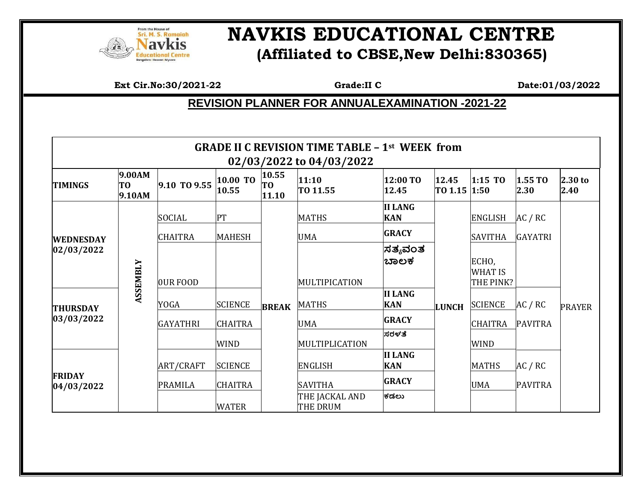

## **NAVIS EDUCATIONAL CENTRE (Affiliated to CBSE,New Delhi:830365)**

**Ext Cir.No:30/2021-22** Grade:II **C** Date:01/03/2022

## **REVISION PLANNER FOR ANNUALEXAMINATION -2021-22**

| <b>GRADE II C REVISION TIME TABLE - 1st WEEK from</b><br>02/03/2022 to 04/03/2022 |                        |                  |                   |                                  |                                   |                              |                       |                                      |                 |                 |  |
|-----------------------------------------------------------------------------------|------------------------|------------------|-------------------|----------------------------------|-----------------------------------|------------------------------|-----------------------|--------------------------------------|-----------------|-----------------|--|
| <b>TIMINGS</b>                                                                    | 9.00AM<br>T0<br>9.10AM | 9.10 TO 9.55     | 10.00 TO<br>10.55 | 10.55<br>T <sub>0</sub><br>11.10 | 11:10<br>TO 11.55                 | 12:00 TO<br>12.45            | 12.45<br>TO 1.15 1:50 | $1:15$ TO                            | 1.55 TO<br>2.30 | 2.30 to<br>2.40 |  |
| <b>WEDNESDAY</b><br>02/03/2022                                                    | <b>ASSEMBLY</b>        | <b>SOCIAL</b>    | PT                |                                  | <b>MATHS</b>                      | <b>II LANG</b><br><b>KAN</b> |                       | <b>ENGLISH</b>                       | AC / RC         |                 |  |
|                                                                                   |                        | <b>CHAITRA</b>   | <b>MAHESH</b>     |                                  | <b>UMA</b>                        | <b>GRACY</b>                 |                       | <b>SAVITHA</b>                       | <b>GAYATRI</b>  |                 |  |
|                                                                                   |                        | OUR FOOD         |                   |                                  | MULTIPICATION                     | ಸತ್ಯವಂತ<br>ಬಾಲಕ              |                       | ECHO,<br><b>WHAT IS</b><br>THE PINK? |                 | <b>PRAYER</b>   |  |
| <b>THURSDAY</b>                                                                   |                        | <b>YOGA</b>      | <b>SCIENCE</b>    | <b>BREAK</b>                     | MATHS                             | <b>II LANG</b><br><b>KAN</b> | <b>LUNCH</b>          | <b>SCIENCE</b>                       | AC / RC         |                 |  |
| 03/03/2022                                                                        |                        | <b>GAYATHRI</b>  | <b>CHAITRA</b>    |                                  | <b>UMA</b>                        | <b>GRACY</b>                 |                       | <b>CHAITRA</b>                       | <b>PAVITRA</b>  |                 |  |
|                                                                                   |                        |                  | <b>WIND</b>       |                                  | MULTIPLICATION                    | ಸರಳತೆ                        |                       | <b>WIND</b>                          |                 |                 |  |
| <b>FRIDAY</b><br>04/03/2022                                                       |                        | <b>ART/CRAFT</b> | <b>SCIENCE</b>    |                                  | <b>ENGLISH</b>                    | <b>II LANG</b><br><b>KAN</b> |                       | <b>MATHS</b>                         | AC / RC         |                 |  |
|                                                                                   |                        | <b>PRAMILA</b>   | <b>CHAITRA</b>    |                                  | <b>SAVITHA</b>                    | <b>GRACY</b>                 |                       | <b>UMA</b>                           | <b>PAVITRA</b>  |                 |  |
|                                                                                   |                        |                  | <b>WATER</b>      |                                  | THE JACKAL AND<br><b>THE DRUM</b> | ಕಡಲು                         |                       |                                      |                 |                 |  |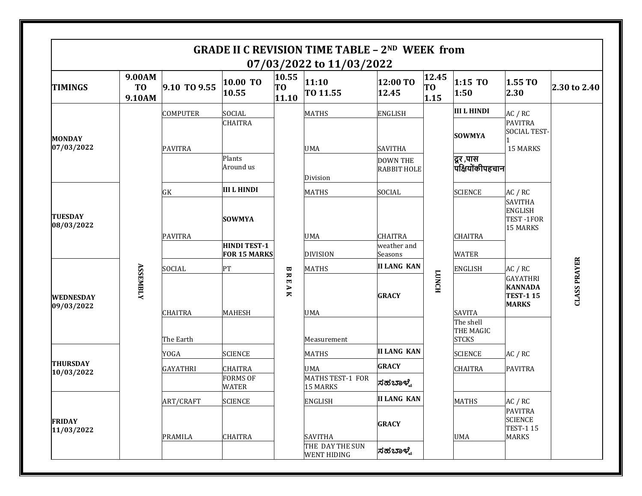| <b>GRADE II C REVISION TIME TABLE - 2ND WEEK from</b><br>07/03/2022 to 11/03/2022 |                                    |                          |                                 |                                  |                                       |                                       |                                 |                                        |                                                                                                                                      |                     |
|-----------------------------------------------------------------------------------|------------------------------------|--------------------------|---------------------------------|----------------------------------|---------------------------------------|---------------------------------------|---------------------------------|----------------------------------------|--------------------------------------------------------------------------------------------------------------------------------------|---------------------|
| <b>TIMINGS</b>                                                                    | 9.00AM<br>T <sub>0</sub><br>9.10AM | 9.10 TO 9.55             | 10.00 TO<br>10.55               | 10.55<br>T <sub>0</sub><br>11.10 | 11:10<br>TO 11.55                     | 12:00 TO<br>12.45                     | 12.45<br>T <sub>0</sub><br>1.15 | 1:15 TO<br>1:50                        | 1.55 TO<br>2.30                                                                                                                      | 2.30 to 2.40        |
| <b>MONDAY</b><br>07/03/2022                                                       |                                    | COMPUTER                 | <b>SOCIAL</b>                   | BRE<br>$\overline{\mathbf{A}}$   | <b>MATHS</b>                          | <b>ENGLISH</b>                        |                                 | <b>III L HINDI</b>                     | AC / RC<br><b>PAVITRA</b><br><b>SOCIAL TEST-</b><br>15 MARKS<br>AC / RC<br><b>SAVITHA</b><br><b>ENGLISH</b><br>TEST-1FOR<br>15 MARKS |                     |
|                                                                                   |                                    | <b>PAVITRA</b>           | <b>CHAITRA</b>                  |                                  | <b>UMA</b>                            | <b>SAVITHA</b>                        |                                 | <b>SOWMYA</b>                          |                                                                                                                                      |                     |
|                                                                                   |                                    |                          | Plants<br>Around us             |                                  | Division                              | <b>DOWN THE</b><br><b>RABBIT HOLE</b> |                                 | दूर ,पास<br>पक्षियोंकीपहचान            |                                                                                                                                      |                     |
| <b>TUESDAY</b><br>08/03/2022<br>WEDNESDAY<br>09/03/2022                           |                                    | GK                       | <b>III L HINDI</b>              |                                  | <b>MATHS</b>                          | SOCIAL                                |                                 | <b>SCIENCE</b>                         |                                                                                                                                      |                     |
|                                                                                   |                                    | <b>PAVITRA</b>           | <b>SOWMYA</b>                   |                                  | <b>UMA</b>                            | <b>CHAITRA</b>                        |                                 | <b>CHAITRA</b>                         |                                                                                                                                      |                     |
|                                                                                   |                                    |                          | <b>HINDI TEST-1</b>             |                                  |                                       | weather and                           |                                 |                                        |                                                                                                                                      |                     |
|                                                                                   |                                    |                          | <b>FOR 15 MARKS</b>             |                                  | <b>DIVISION</b>                       | Seasons                               |                                 | <b>WATER</b>                           |                                                                                                                                      |                     |
|                                                                                   | <b>ASSEMBLY</b>                    | SOCIAL<br><b>CHAITRA</b> | PT<br><b>MAHESH</b>             |                                  | <b>MATHS</b><br><b>UMA</b>            | <b>II LANG KAN</b><br><b>GRACY</b>    | <b>FONCH</b>                    | <b>ENGLISH</b><br><b>SAVITA</b>        | AC / RC<br><b>GAYATHRI</b><br><b>KANNADA</b><br><b>TEST-115</b><br><b>MARKS</b>                                                      | <b>CLASS PRAYER</b> |
|                                                                                   |                                    | The Earth                |                                 |                                  | Measurement                           |                                       |                                 | The shell<br>THE MAGIC<br><b>STCKS</b> |                                                                                                                                      |                     |
|                                                                                   |                                    | YOGA                     | <b>SCIENCE</b>                  |                                  | <b>MATHS</b>                          | <b>II LANG KAN</b>                    |                                 | <b>SCIENCE</b>                         | AC / RC                                                                                                                              |                     |
| <b>THURSDAY</b><br>10/03/2022                                                     |                                    | <b>GAYATHRI</b>          | <b>CHAITRA</b>                  |                                  | <b>UMA</b>                            | <b>GRACY</b>                          |                                 | <b>CHAITRA</b>                         | <b>PAVITRA</b>                                                                                                                       |                     |
|                                                                                   |                                    |                          | <b>FORMS OF</b><br><b>WATER</b> |                                  | MATHS TEST-1 FOR<br><b>15 MARKS</b>   | ಸಹಬಾಳ್ವೆ                              |                                 |                                        |                                                                                                                                      |                     |
| <b>FRIDAY</b><br>11/03/2022                                                       |                                    | ART/CRAFT                | <b>SCIENCE</b>                  |                                  | <b>ENGLISH</b>                        | <b>II LANG KAN</b>                    |                                 | <b>MATHS</b>                           | AC / RC                                                                                                                              |                     |
|                                                                                   |                                    | PRAMILA                  | <b>CHAITRA</b>                  |                                  | <b>SAVITHA</b>                        | <b>GRACY</b>                          |                                 | UMA                                    | <b>PAVITRA</b><br><b>SCIENCE</b><br><b>TEST-115</b><br><b>MARKS</b>                                                                  |                     |
|                                                                                   |                                    |                          |                                 |                                  | THE DAY THE SUN<br><b>WENT HIDING</b> | ಸಹಬಾಳ್ವೆ                              |                                 |                                        |                                                                                                                                      |                     |